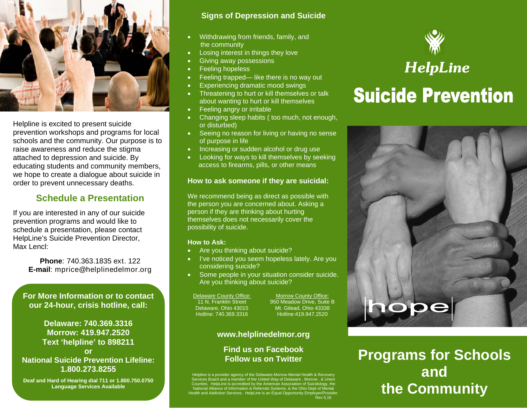

Helpline is excited to present suicide prevention workshops and programs for local schools and the community. Our purpose is to raise awareness and reduce the stigma attached to depression and suicide. By educating students and community members, we hope to create a dialogue about suicide in order to prevent unnecessary deaths.

### **Schedule a Presentation**

If you are interested in any of our suicide prevention programs and would like to schedule a presentation, please contact HelpLine's Suicide Prevention Director, Max Lencl:

> **Phone**: 740.363.1835 ext. 122 **E-mail**: mprice@helplinedelmor.org

**For More Information or to contact our 24-hour, crisis hotline, call:** 

**Delaware: 740.369.3316 Morrow: 419.947.2520 Text 'helpline' to 898211 or National Suicide Prevention Lifeline: 1.800.273.8255** 

**Deaf and Hard of Hearing dial 711 or 1.800.750.0750 Language Services Available** 

#### **Signs of Depression and Suicide**

- $\bullet$  Withdrawing from friends, family, and the community
- $\bullet$ Losing interest in things they love
- $\bullet$ Giving away possessions
- $\bullet$  . Feeling hopeless
- $\bullet$ Feeling trapped— like there is no way out
- $\bullet$ Experiencing dramatic mood swings
- $\bullet$  . Threatening to hurt or kill themselves or talk about wanting to hurt or kill themselves
- $\bullet$ Feeling angry or irritable
- $\bullet$  . Changing sleep habits ( too much, not enough, or disturbed)
- Seeing no reason for living or having no sense of purpose in life
- $\bullet$ Increasing or sudden alcohol or drug use
- $\bullet$  Looking for ways to kill themselves by seeking access to firearms, pills, or other means

#### **How to ask someone if they are suicidal:**

We recommend being as direct as possible with the person you are concerned about. Asking a person if they are thinking about hurting themselves does not necessarily cover the possibility of suicide.

#### **How to Ask:**

- $\bullet$ Are you thinking about suicide?
- $\bullet$  I've noticed you seem hopeless lately. Are you considering suicide?
- $\bullet$  Some people in your situation consider suicide. Are you thinking about suicide?

Delaware County Office: 11 N. Franklin Street Delaware, Ohio 43015 Hotline: 740.369.3316

Morrow County Office: 950 Meadow Drive, Suite B Mt. Gilead, Ohio 43338 Hotline:419.947.2520

#### **www.helplinedelmor.org**

#### **Find us on Facebook Follow us on Twitter**

Helpline is a provider agency of the Delaware-Morrow Mental Health & Recovery<br>Services Board and a member of the United Way of Delaware, Morrow, & Union<br>Counties. HelpLine is accredited by the American Association of Suici



# *HelpLine*  **Suicide Prevention**



**Programs for Schools and the Community**